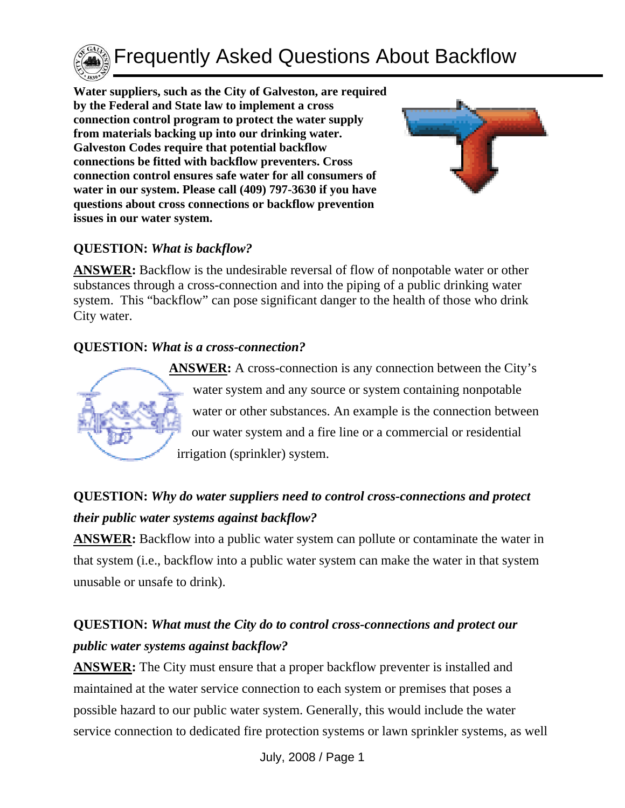

Frequently Asked Questions About Backflow

**Water suppliers, such as the City of Galveston, are required by the Federal and State law to implement a cross connection control program to protect the water supply from materials backing up into our drinking water. Galveston Codes require that potential backflow connections be fitted with backflow preventers. Cross connection control ensures safe water for all consumers of water in our system. Please call (409) 797-3630 if you have questions about cross connections or backflow prevention issues in our water system.** 



#### **QUESTION:** *What is backflow?*

**ANSWER:** Backflow is the undesirable reversal of flow of nonpotable water or other substances through a cross-connection and into the piping of a public drinking water system. This "backflow" can pose significant danger to the health of those who drink City water.

#### **QUESTION:** *What is a cross-connection?*



**ANSWER:** A cross-connection is any connection between the City's water system and any source or system containing nonpotable water or other substances. An example is the connection between our water system and a fire line or a commercial or residential irrigation (sprinkler) system.

## **QUESTION:** *Why do water suppliers need to control cross-connections and protect their public water systems against backflow?*

**ANSWER:** Backflow into a public water system can pollute or contaminate the water in that system (i.e., backflow into a public water system can make the water in that system unusable or unsafe to drink).

## **QUESTION:** *What must the City do to control cross-connections and protect our public water systems against backflow?*

**ANSWER:** The City must ensure that a proper backflow preventer is installed and maintained at the water service connection to each system or premises that poses a possible hazard to our public water system. Generally, this would include the water service connection to dedicated fire protection systems or lawn sprinkler systems, as well

July, 2008 / Page 1